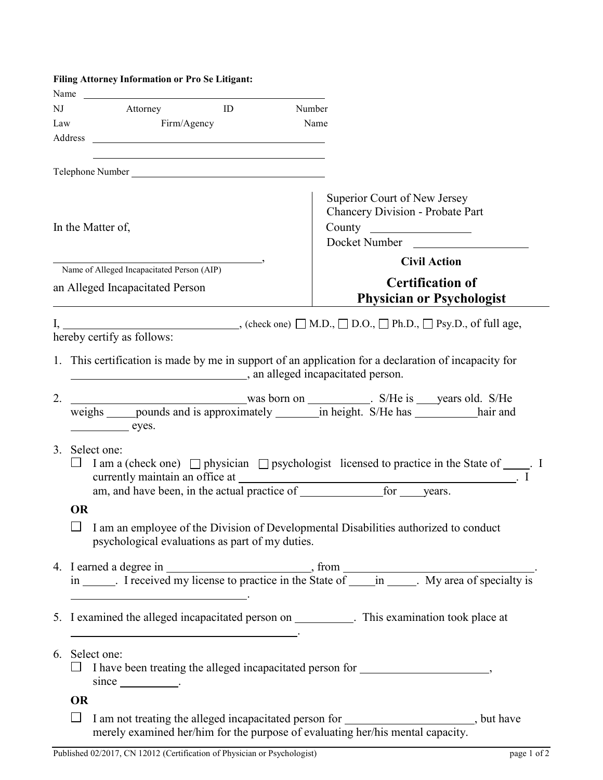|     | Filing Attorney Information or Pro Se Litigant:                                                                                                                          |                                                                                         |  |  |
|-----|--------------------------------------------------------------------------------------------------------------------------------------------------------------------------|-----------------------------------------------------------------------------------------|--|--|
| NJ  | Name<br>Attorney<br>ID                                                                                                                                                   | Number                                                                                  |  |  |
| Law | Firm/Agency                                                                                                                                                              | Name                                                                                    |  |  |
|     |                                                                                                                                                                          |                                                                                         |  |  |
|     |                                                                                                                                                                          |                                                                                         |  |  |
|     |                                                                                                                                                                          |                                                                                         |  |  |
|     | In the Matter of,                                                                                                                                                        | Superior Court of New Jersey<br>Chancery Division - Probate Part<br>Docket Number       |  |  |
|     | Name of Alleged Incapacitated Person (AIP)                                                                                                                               | <b>Civil Action</b>                                                                     |  |  |
|     | an Alleged Incapacitated Person                                                                                                                                          | <b>Certification of</b><br><b>Physician or Psychologist</b>                             |  |  |
|     | I, _________________________________, (check one) $\Box$ M.D., $\Box$ D.O., $\Box$ Ph.D., $\Box$ Psy.D., of full age,                                                    |                                                                                         |  |  |
|     | hereby certify as follows:                                                                                                                                               |                                                                                         |  |  |
|     | 1. This certification is made by me in support of an application for a declaration of incapacity for<br>an alleged incapacitated person.                                 |                                                                                         |  |  |
| 2.  | weighs _____pounds and is approximately _________in height. S/He has ____________hair and<br>eyes.                                                                       |                                                                                         |  |  |
| 3.  | Select one:<br>I am a (check one) $\Box$ physician $\Box$ psychologist licensed to practice in the State of _____. I<br>for years.                                       |                                                                                         |  |  |
|     | <b>OR</b>                                                                                                                                                                |                                                                                         |  |  |
|     | psychological evaluations as part of my duties.                                                                                                                          | I am an employee of the Division of Developmental Disabilities authorized to conduct    |  |  |
|     | <u> 1989 - Johann Stoff, deutscher Stoffen und der Stoffen und der Stoffen und der Stoffen und der Stoffen und der</u>                                                   |                                                                                         |  |  |
|     | 5. I examined the alleged incapacitated person on ___________. This examination took place at<br><u> 1989 - Johann Barn, fransk politik amerikansk politik (d. 1989)</u> |                                                                                         |  |  |
|     | 6. Select one:<br>□ I have been treating the alleged incapacitated person for ____________________,<br>$since \_\_\_\_\.\$                                               |                                                                                         |  |  |
|     | <b>OR</b>                                                                                                                                                                |                                                                                         |  |  |
|     | $\Box$<br>merely examined her/him for the purpose of evaluating her/his mental capacity.                                                                                 | I am not treating the alleged incapacitated person for ______________________, but have |  |  |
|     | Published 02/2017, CN 12012 (Certification of Physician or Psychologist)                                                                                                 | page 1 of 2                                                                             |  |  |